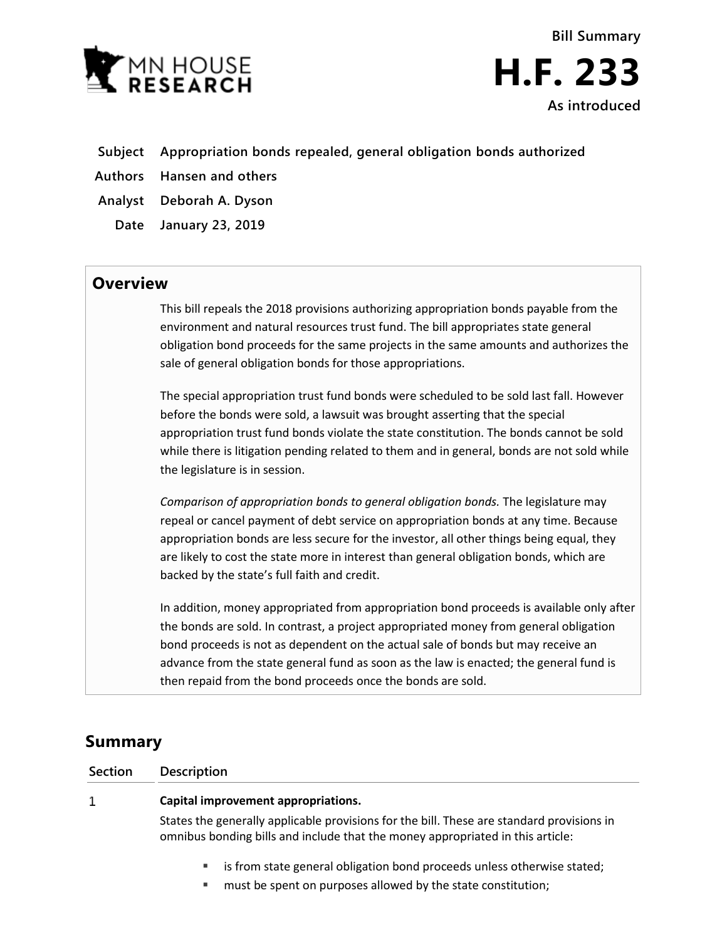



- **Subject Appropriation bonds repealed, general obligation bonds authorized**
- **Authors Hansen and others**
- **Analyst Deborah A. Dyson**
- **Date January 23, 2019**

## **Overview**

This bill repeals the 2018 provisions authorizing appropriation bonds payable from the environment and natural resources trust fund. The bill appropriates state general obligation bond proceeds for the same projects in the same amounts and authorizes the sale of general obligation bonds for those appropriations.

The special appropriation trust fund bonds were scheduled to be sold last fall. However before the bonds were sold, a lawsuit was brought asserting that the special appropriation trust fund bonds violate the state constitution. The bonds cannot be sold while there is litigation pending related to them and in general, bonds are not sold while the legislature is in session.

*Comparison of appropriation bonds to general obligation bonds.* The legislature may repeal or cancel payment of debt service on appropriation bonds at any time. Because appropriation bonds are less secure for the investor, all other things being equal, they are likely to cost the state more in interest than general obligation bonds, which are backed by the state's full faith and credit.

In addition, money appropriated from appropriation bond proceeds is available only after the bonds are sold. In contrast, a project appropriated money from general obligation bond proceeds is not as dependent on the actual sale of bonds but may receive an advance from the state general fund as soon as the law is enacted; the general fund is then repaid from the bond proceeds once the bonds are sold.

# **Summary**

1

**Section Description**

### **Capital improvement appropriations.**

States the generally applicable provisions for the bill. These are standard provisions in omnibus bonding bills and include that the money appropriated in this article:

- is from state general obligation bond proceeds unless otherwise stated;
- **"** must be spent on purposes allowed by the state constitution;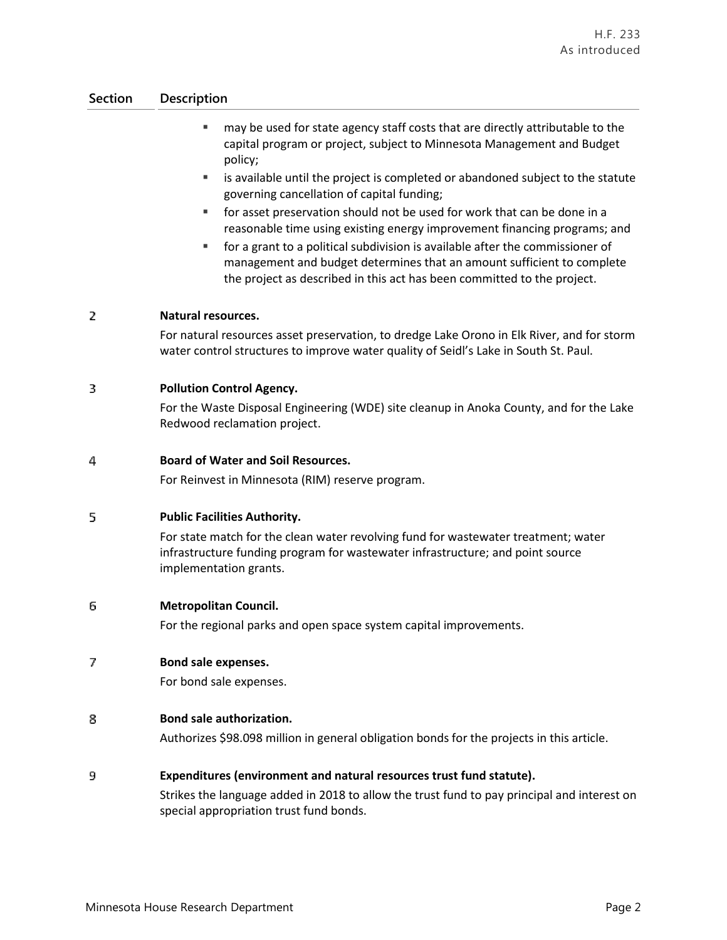### **Section Description**

- may be used for state agency staff costs that are directly attributable to the capital program or project, subject to Minnesota Management and Budget policy;
- is available until the project is completed or abandoned subject to the statute governing cancellation of capital funding;
- for asset preservation should not be used for work that can be done in a reasonable time using existing energy improvement financing programs; and
- for a grant to a political subdivision is available after the commissioner of management and budget determines that an amount sufficient to complete the project as described in this act has been committed to the project.

#### $\overline{2}$ **Natural resources.**

For natural resources asset preservation, to dredge Lake Orono in Elk River, and for storm water control structures to improve water quality of Seidl's Lake in South St. Paul.

#### 3 **Pollution Control Agency.**

For the Waste Disposal Engineering (WDE) site cleanup in Anoka County, and for the Lake Redwood reclamation project.

#### 4 **Board of Water and Soil Resources.**

For Reinvest in Minnesota (RIM) reserve program.

#### 5 **Public Facilities Authority.**

For state match for the clean water revolving fund for wastewater treatment; water infrastructure funding program for wastewater infrastructure; and point source implementation grants.

#### 6 **Metropolitan Council.**

For the regional parks and open space system capital improvements.

#### 7 **Bond sale expenses.**

For bond sale expenses.

#### **Bond sale authorization.** 8

Authorizes \$98.098 million in general obligation bonds for the projects in this article.

#### 9 **Expenditures (environment and natural resources trust fund statute).**

Strikes the language added in 2018 to allow the trust fund to pay principal and interest on special appropriation trust fund bonds.